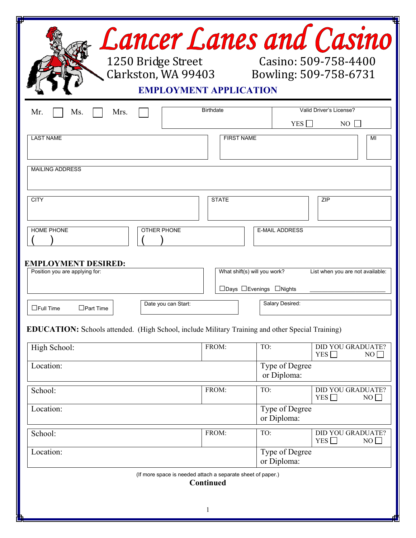| <b>Lancer Lanes and Casino</b><br>Casino: 509-758-4400<br>1250 Bridge Street<br>Clarkston, WA 99403 Bowling: 509-758-6731<br><b>EMPLOYMENT APPLICATION</b> |                              |                               |                                              |  |  |  |  |  |
|------------------------------------------------------------------------------------------------------------------------------------------------------------|------------------------------|-------------------------------|----------------------------------------------|--|--|--|--|--|
| Mr.<br>Mrs.<br>Ms.                                                                                                                                         | <b>Birthdate</b>             | YES                           | Valid Driver's License?<br>NO.               |  |  |  |  |  |
| <b>LAST NAME</b>                                                                                                                                           | <b>FIRST NAME</b>            |                               | MI                                           |  |  |  |  |  |
| <b>MAILING ADDRESS</b>                                                                                                                                     |                              |                               |                                              |  |  |  |  |  |
| <b>CITY</b>                                                                                                                                                | <b>STATE</b>                 |                               | <b>ZIP</b>                                   |  |  |  |  |  |
| <b>HOME PHONE</b><br><b>OTHER PHONE</b>                                                                                                                    |                              | <b>E-MAIL ADDRESS</b>         |                                              |  |  |  |  |  |
| <b>EMPLOYMENT DESIRED:</b><br>Position you are applying for:                                                                                               | What shift(s) will you work? | □Days □Evenings □Nights       | List when you are not available:             |  |  |  |  |  |
| Date you can Start:<br>$\Box$ Full Time<br>$\Box$ Part Time                                                                                                |                              | Salary Desired:               |                                              |  |  |  |  |  |
| <b>EDUCATION:</b> Schools attended. (High School, include Military Training and other Special Training)                                                    |                              |                               |                                              |  |  |  |  |  |
| High School:                                                                                                                                               | FROM:                        | TO:                           | <b>DID YOU GRADUATE?</b><br>YES $\Box$<br>NO |  |  |  |  |  |
| Location:                                                                                                                                                  |                              | Type of Degree<br>or Diploma: |                                              |  |  |  |  |  |
| School:                                                                                                                                                    | FROM:                        | TO:                           | <b>DID YOU GRADUATE?</b><br>YES<br>NO        |  |  |  |  |  |
| Location:                                                                                                                                                  |                              | Type of Degree<br>or Diploma: |                                              |  |  |  |  |  |
| School:                                                                                                                                                    | FROM:                        | TO:                           | <b>DID YOU GRADUATE?</b><br>YES $\Box$<br>NO |  |  |  |  |  |
| Location:                                                                                                                                                  |                              | Type of Degree<br>or Diploma: |                                              |  |  |  |  |  |
| (If more space is needed attach a separate sheet of paper.)                                                                                                | Continued<br>$\mathbf{1}$    |                               |                                              |  |  |  |  |  |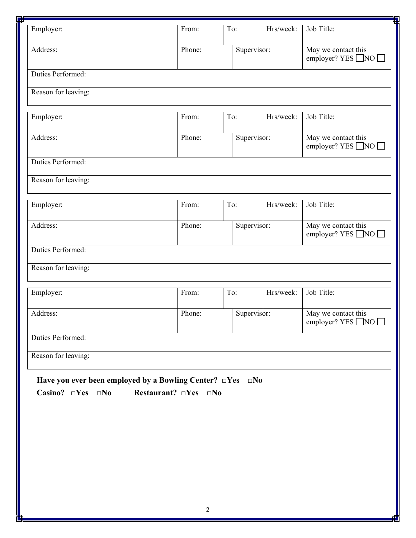| Employer:                                                                                                 | From:                                | To:         | Hrs/week: | Job Title:                                            |  |
|-----------------------------------------------------------------------------------------------------------|--------------------------------------|-------------|-----------|-------------------------------------------------------|--|
| Address:                                                                                                  | Phone:                               | Supervisor: |           | May we contact this<br>employer? YES ■NO              |  |
| Duties Performed:                                                                                         |                                      |             |           |                                                       |  |
| Reason for leaving:                                                                                       |                                      |             |           |                                                       |  |
| Employer:                                                                                                 | From:                                | To:         | Hrs/week: | Job Title:                                            |  |
| Address:                                                                                                  | Phone:                               | Supervisor: |           | May we contact this<br>employer? YES ■NO              |  |
| Duties Performed:                                                                                         |                                      |             |           |                                                       |  |
| Reason for leaving:                                                                                       |                                      |             |           |                                                       |  |
| Employer:                                                                                                 | From:                                | To:         | Hrs/week: | Job Title:                                            |  |
| Address:                                                                                                  | Phone:                               | Supervisor: |           | May we contact this<br>employer? YES ■NO              |  |
| Duties Performed:                                                                                         |                                      |             |           |                                                       |  |
| Reason for leaving:                                                                                       |                                      |             |           |                                                       |  |
| Employer:                                                                                                 | From:                                | To:         | Hrs/week: | Job Title:                                            |  |
| Address:                                                                                                  | Phone:                               | Supervisor: |           | May we contact this<br>employer? YES $\Box$ NO $\Box$ |  |
| Duties Performed:                                                                                         |                                      |             |           |                                                       |  |
| Reason for leaving:                                                                                       |                                      |             |           |                                                       |  |
| Have you ever been employed by a Bowling Center? $\Box$ Yes $\Box$ No<br>Casino? $\square Yes \square No$ | Restaurant? $\square Yes \square No$ |             |           |                                                       |  |
|                                                                                                           |                                      |             |           |                                                       |  |